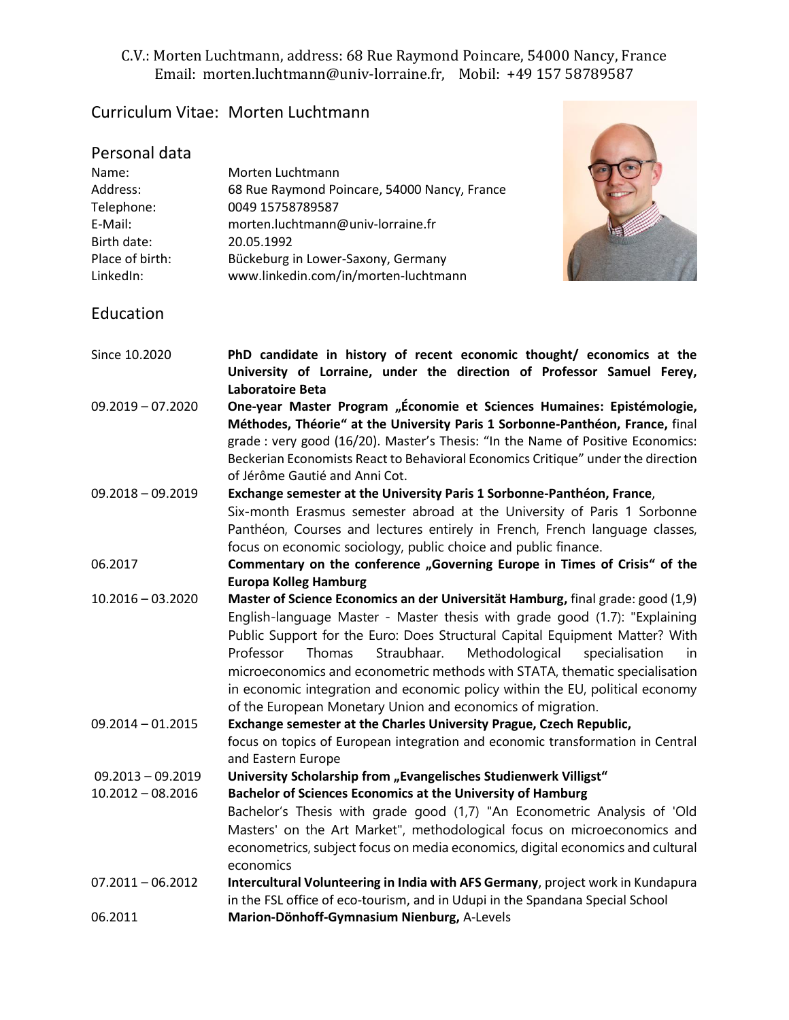## C.V.: Morten Luchtmann, address: 68 Rue Raymond Poincare, 54000 Nancy, France Email: morten.luchtmann@univ-lorraine.fr, Mobil: +49 157 58789587

## Curriculum Vitae: Morten Luchtmann

| Personal data<br>Name:<br>Address:<br>Telephone:<br>E-Mail:<br>Birth date:<br>Place of birth:<br>LinkedIn: | Morten Luchtmann<br>68 Rue Raymond Poincare, 54000 Nancy, France<br>0049 15758789587<br>morten.luchtmann@univ-lorraine.fr<br>20.05.1992<br>Bückeburg in Lower-Saxony, Germany<br>www.linkedin.com/in/morten-luchtmann                                                                                                                                                                                                                                                                                                                                    |
|------------------------------------------------------------------------------------------------------------|----------------------------------------------------------------------------------------------------------------------------------------------------------------------------------------------------------------------------------------------------------------------------------------------------------------------------------------------------------------------------------------------------------------------------------------------------------------------------------------------------------------------------------------------------------|
| Education                                                                                                  |                                                                                                                                                                                                                                                                                                                                                                                                                                                                                                                                                          |
| Since 10.2020                                                                                              | PhD candidate in history of recent economic thought/ economics at the<br>University of Lorraine, under the direction of Professor Samuel Ferey,<br><b>Laboratoire Beta</b>                                                                                                                                                                                                                                                                                                                                                                               |
| $09.2019 - 07.2020$                                                                                        | One-year Master Program "Économie et Sciences Humaines: Epistémologie,<br>Méthodes, Théorie" at the University Paris 1 Sorbonne-Panthéon, France, final<br>grade : very good (16/20). Master's Thesis: "In the Name of Positive Economics:<br>Beckerian Economists React to Behavioral Economics Critique" under the direction<br>of Jérôme Gautié and Anni Cot.                                                                                                                                                                                         |
| $09.2018 - 09.2019$                                                                                        | Exchange semester at the University Paris 1 Sorbonne-Panthéon, France,<br>Six-month Erasmus semester abroad at the University of Paris 1 Sorbonne<br>Panthéon, Courses and lectures entirely in French, French language classes,<br>focus on economic sociology, public choice and public finance.                                                                                                                                                                                                                                                       |
| 06.2017                                                                                                    | Commentary on the conference "Governing Europe in Times of Crisis" of the<br><b>Europa Kolleg Hamburg</b>                                                                                                                                                                                                                                                                                                                                                                                                                                                |
| $10.2016 - 03.2020$                                                                                        | Master of Science Economics an der Universität Hamburg, final grade: good (1,9)<br>English-language Master - Master thesis with grade good (1.7): "Explaining<br>Public Support for the Euro: Does Structural Capital Equipment Matter? With<br>Professor<br>Thomas<br>Straubhaar.<br>Methodological<br>specialisation<br>in<br>microeconomics and econometric methods with STATA, thematic specialisation<br>in economic integration and economic policy within the EU, political economy<br>of the European Monetary Union and economics of migration. |
| $09.2014 - 01.2015$                                                                                        | Exchange semester at the Charles University Prague, Czech Republic,<br>focus on topics of European integration and economic transformation in Central<br>and Eastern Europe                                                                                                                                                                                                                                                                                                                                                                              |
| $09.2013 - 09.2019$<br>$10.2012 - 08.2016$                                                                 | University Scholarship from "Evangelisches Studienwerk Villigst"<br>Bachelor of Sciences Economics at the University of Hamburg<br>Bachelor's Thesis with grade good (1,7) "An Econometric Analysis of 'Old<br>Masters' on the Art Market", methodological focus on microeconomics and<br>econometrics, subject focus on media economics, digital economics and cultural<br>economics                                                                                                                                                                    |
| $07.2011 - 06.2012$                                                                                        | Intercultural Volunteering in India with AFS Germany, project work in Kundapura<br>in the FSL office of eco-tourism, and in Udupi in the Spandana Special School                                                                                                                                                                                                                                                                                                                                                                                         |
| 06.2011                                                                                                    | Marion-Dönhoff-Gymnasium Nienburg, A-Levels                                                                                                                                                                                                                                                                                                                                                                                                                                                                                                              |